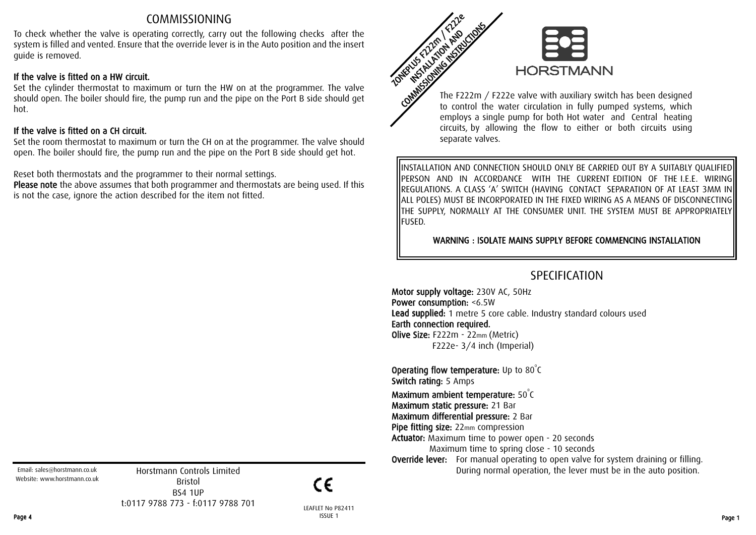## COMMISSIONING

To check whether the valve is operating correctly, carry out the following checks after the system is filled and vented. Ensure that the override lever is in the Auto position and the insert guide is removed.

### If the valve is fitted on a HW circuit.

Set the cylinder thermostat to maximum or turn the HW on at the programmer. The valve should open. The boiler should fire, the pump run and the pipe on the Port B side should get hot.

#### If the valve is fitted on a CH circuit.

Set the room thermostat to maximum or turn the CH on at the programmer. The valve should open. The boiler should fire, the pump run and the pipe on the Port B side should get hot.

Reset both thermostats and the programmer to their normal settings.

Please note the above assumes that both programmer and thermostats are being used. If this is not the case, ignore the action described for the item not fitted.



to control the water circulation in fully pumped systems, which employs a single pump for both Hot water and Central heating circuits, by allowing the flow to either or both circuits using separate valves.

INSTALLATION AND CONNECTION SHOULD ONLY BE CARRIED OUT BY A SUITABLY QUALIFIED PERSON AND IN ACCORDANCE WITH THE CURRENT EDITION OF THE I.E.E. WIRING REGULATIONS. A CLASS 'A' SWITCH (HAVING CONTACT SEPARATION OF AT LEAST 3MM IN ALL POLES) MUST BE INCORPORATED IN THE FIXED WIRING AS A MEANS OF DISCONNECTING THE SUPPLY, NORMALLY AT THE CONSUMER UNIT. THE SYSTEM MUST BE APPROPRIATELY FUSED.

WARNING : ISOLATE MAINS SUPPLY BEFORE COMMENCING INSTALLATION

# SPECIFICATION

Motor supply voltage: 230V AC, 50Hz Power consumption: <6.5W Lead supplied: 1 metre 5 core cable. Industry standard colours used Earth connection required. Olive Size: F222m - 22mm (Metric) F222e- 3/4 inch (Imperial)

**Operating flow temperature:** Up to  $80^{\circ}$ C Switch rating: 5 Amps Maximum ambient temperature:  $50^{\circ}$ C Maximum static pressure: 21 Bar Maximum differential pressure: 2 Bar

Pipe fitting size: 22mm compression

Actuator: Maximum time to power open - 20 seconds Maximum time to spring close - 10 seconds

**Override lever:** For manual operating to open valve for system draining or filling. During normal operation, the lever must be in the auto position.

Email: sales@horstmann.co.uk Website: www.horstmann.co.uk

Horstmann Controls Limited Bristol BS4 1UP t:0117 9788 773 - f:0117 9788 701

 $\epsilon$ 

LEAFLET No P82411